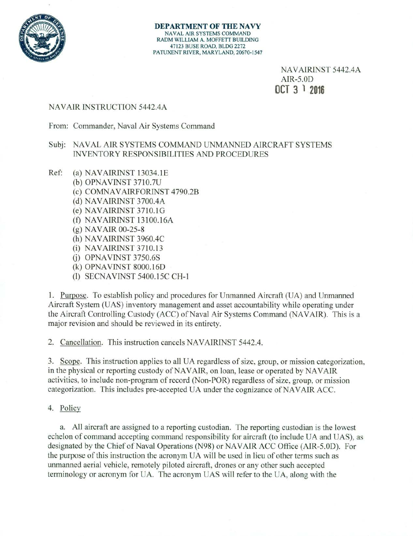

**DEPARTMENT OF THE** NAVY **NAVAL AIR SYSTEMS COMMAND RADM WILLIAM A. MOFFETT BUILDING 47123 BUSE ROAD, BLDG 2272 PATUXENT RIVER, MARYLAND, 20670-1547** 

> NAVAIRINST 5442.4A  $AIR-5.0D$ **OCT 3** ' **<sup>2016</sup>**

### NAVAIR INSTRUCTION 5442.4A

From: Commander, Naval Air Systems Command

## Subj: NAVAL AIR SYSTEMS COMMAND UNMANNED AIRCRAFT SYSTEMS INVENTORY RESPONSIBILITIES AND PROCEDURES

- Ref: (a) NAVAIRINST 13034.1E
	- OPNAVINST 3710.7U
	- (c) COMNAVAIRFORINST 4790.2B
	- (d) NAVAIRINST 3700.4A
	- NAVAIRINST 3710.1G
	- (f) NAVAIRINST 13100.16A
	- $(g)$  NAVAIR 00-25-8
	- (h) NAVAIRINST 3960.4C
	- (i) NAVAIRINST 3710.13
	- OPNAVINST *3750.6S*
	- (k) OPNAVINST 8000.16D
	- (1) SECNAVINST *5400.I5C* CH-I

I. Purpose. To establish policy and procedures for Unmanned Aircraft (UA) and Unmanned Aircraft System (UAS) inventory management and asset accountability while operating under the Aircraft Controlling Custody (ACC) of Naval Air Systems Command (NAVAIR). This is a major revision and should be reviewed in its entirety.

2. Cancellation. This instruction cancels NAVAIRINST 5442.4.

Scope. This instruction applies to all UA regardless of size, group, or mission categorization, in the physical or reporting custody of NAVAIR, on loan, lease or operated by NAVAIR activities, to include non-program of record (Non-POR) regardless of size, group, or mission categorization. This includes pre-accepted UA under the cognizance of NAVAIR ACC.

4. Policy

a. All aircraft are assigned to a reporting custodian. The reporting custodian is the lowest echelon of command accepting command responsibility for aircraft (to include UA and UAS), as designated by the Chief of Naval Operations (N98) or NAVAIR ACC Office (AIR-5.OD). For the purpose of this instruction the acronym UA will be used in lieu of other terms such as unmanned aerial vehicle, remotely piloted aircraft, drones or any other such accepted terminology or acronym for UA. The acronym UAS will refer to the UA, along with the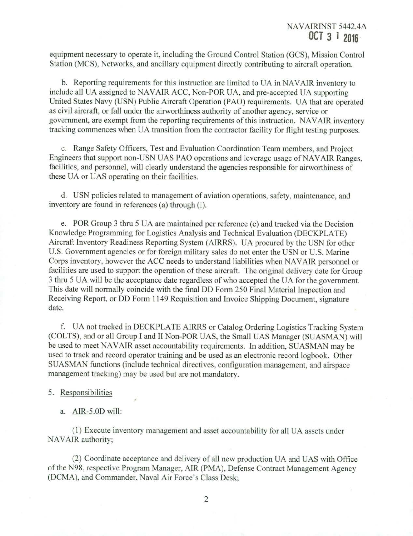equipment necessary to operate it, including the Ground Control Station (GCS), Mission Control Station (MCS), Networks, and ancillary equipment directly contributing to aircraft operation.

Reporting requirements for this instruction are limited to UA in NAVAIR inventory to include all UA assigned to NAVAIR ACC, Non-POR UA, and pre-accepted UA supporting United States Navy (USN) Public Aircraft Operation (PAO) requirements. UA that are operated as civil aircraft, or fall under the airworthiness authority of another agency, service or government, are exempt from the reporting requirements of this instruction. NAVAIR inventory tracking commences when UA transition from the contractor facility for flight testing purposes.

Range Safety Officers, Test and Evaluation Coordination Team members, and Project Engineers that support non-USN UAS PAO operations and leverage usage of NAVAIR Ranges, facilities, and personnel, will clearly understand the agencies responsible for airworthiness of these UA or UAS operating on their facilities.

USN policies related to management of aviation operations, safety, maintenance, and inventory are found in references (a) through (1).

POR Group 3 thru 5 UA are maintained per reference (c) and tracked via the Decision Knowledge Programming for Logistics Analysis and Technical Evaluation (DECKPLATE) Aircraft Inventory Readiness Reporting System (AIRRS). UA procured by the USN for other U.S. Government agencies or for foreign military sales do not enter the USN or U.S. Marine Corps inventory, however the ACC needs to understand liabilities when NAVAIR personnel or facilities are used to support the operation of these aircraft. The original delivery date for Group 3 thru 5 UA will be the acceptance date regardless of who accepted the UA for the government. This date will normally coincide with the final DD Form 250 Final Material Inspection and Receiving Report, or DD Form 1149 Requisition and Invoice Shipping Document, signature date.

UA not tracked in DECKPLATE AIRRS or Catalog Ordering Logistics Tracking System (COLTS), and or all Group I and II Non-POR UAS, the Small UAS Manager (SUASMAN) will be used to meet NAVAIR asset accountability requirements. In addition, SUASMAN may be used to track and record operator training and be used as an electronic record logbook. Other SUASMAN functions (include technical directives, configuration management, and airspace management tracking) may be used but are not mandatory.

#### 5. Responsibilities

a. AIR-5.0D will:

(I) Execute inventory management and asset accountability for all UA assets under NAVAIR authority;

(2) Coordinate acceptance and delivery of all new production UA and UAS with Office of the N98. respective Program Manager, AIR (PMA), Defense Contract Management Agency (DCMA), and Commander, Naval Air Force's Class Desk;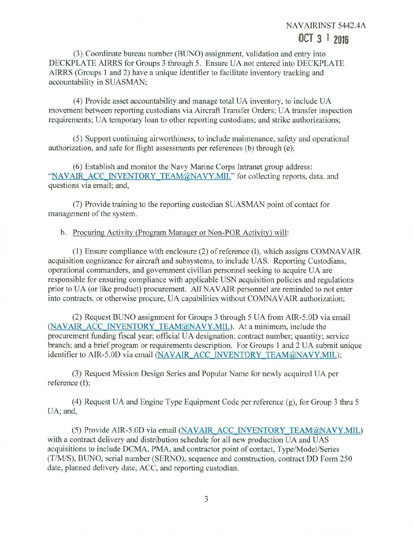# NAVAIRINST 5442.4A

# **OCT 3 <sup>1</sup> <sup>2016</sup>**

Coordinate bureau number (BLJNO) assignment, validation and entry into DECKPLATE AIRRS for Groups 3 through *5.* Ensure UA not entered into DECKPLATE AIRRS (Groups I and 2) have a unique identifier to facilitate inventory tracking and accountability in SUASMAN;

Provide asset accountability and manage total UA inventory, to include UA movement between reporting custodians via Aircraft Transfer Orders; UA transfer inspection requirements; UA temporary loan to other reporting custodians; and strike authorizations;

Support continuing airworthiness, to include maintenance, safety and operational authorization, and safe for flight assessments per references (b) through (e);

Establish and monitor the Navy Marine Corps Intranet group address: "NAVAIR ACC INVENTORY TEAM@NAVY.MIL" for collecting reports, data, and questions via email; and,

(7) Provide training to the reporting custodian SUASMAN point of contact for management of the system.

b. Procuring Activity (Program Manager or Non-POR Activity) will:

Ensure compliance with enclosure (2) of reference (1), which assigns COMNAVAIR acquisition cognizance for aircraft and subsystems, to include UAS. Reporting Custodians, operational commanders, and government civilian personnel seeking to acquire UA are responsible for ensuring compliance with applicable USN acquisition policies and regulations prior to UA (or like product) procurement. All NAVAIR personnel are reminded to not enter into contracts, or otherwise procure, UA capabilities without COMNAVAIR authorization;

Request BIJNO assignment for Groups 3 through *5* UA from AIR-5.01) via email (NAVAIR ACC INVENTORY TEAM@NAVY.MIL). At a minimum, include the procurement funding fiscal year; official UA designation; contract number; quantity; service branch; and a brief program or requirements description. For Groups 1 and 2 UA submit unique identifier to AIR-5.0D via email (NAVAIR ACC INVENTORY TEAM@NAVY.MIL);

Request Mission Design Series and Popular Name for newly acquired UA per reference (f);

Request UA and Engine Type Equipment Code per reference (g), for Group 3 thru *5*  UA; and,

(5) Provide AIR-5.0D via email (NAVAIR ACC INVENTORY TEAM@NAVY.MIL) with a contract delivery and distribution schedule for all new production UA and UAS acquisitions to include DCMA, PMA, and contractor point of contact, Type/Model/Series (T/M/S), BLTNO, serial number (SERNO), sequence and construction, contract DD Form *250*  date, planned delivery date, ACC, and reporting custodian.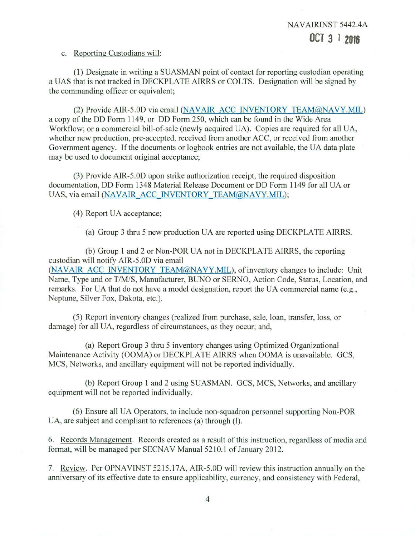#### c. Reporting Custodians will:

(1) Designate in writing a SUASMAN point of contact for reporting custodian operating a UAS that is not tracked in DECKPLATE AIRRS or COLTS. Designation will be signed by the commanding officer or equivalent;

(2) Provide AIR-5.0D via email (NAVAIR ACC INVENTORY TEAM@NAVY.MIL) a copy of the DD Form 1149, or DD Form 250, which can be found in the Wide Area Workflow; or a commercial bill-of-sale (newly acquired UA). Copies are required for all UA, whether new production, pre-accepted, received from another ACC, or received from another Government agency. If the documents or logbook entries are not available, the UA data plate may be used to document original acceptance;

(3) Provide AIR-5.0D upon strike authorization receipt, the required disposition documentation, DD Form 1348 Material Release Document or DD Form 1149 for all UA or UAS, via email (NAVAIR ACC INVENTORY TEAM@NAVY.MIL);

(4) Report UA acceptance;

(a) Group 3 thru 5 new production UA are reported using DECKPLATE AIRRS.

(b) Group 1 and 2 or Non-POR UA not in DECKPLATE AIRRS, the reporting custodian will notify AIR-5.OD via email (NAVAIR ACC INVENTORY TEAM@NAVY.MIL), of inventory changes to include: Unit Name, Type and or T/M/S, Manufacturer, BUNO or SERNO, Action Code, Status, Location, and remarks. For UA that do not have a model designation, report the UA commercial name (e.g., Neptune, Silver Fox, Dakota, etc.).

(5) Report inventory changes (realized from purchase, sale, loan, transfer, loss, or damage) for all UA, regardless of circumstances, as they occur; and,

(a) Report Group 3 thru 5 inventory changes using Optimized Organizational Maintenance Activity (OOMA) or DECKPLATE AIRRS when OOMA is unavailable. GCS, MCS, Networks, and ancillary equipment will not be reported individually.

(b) Report Group 1 and 2 using SUASMAN. GCS, MCS, Networks, and ancillary equipment will not be reported individually.

(6) Ensure all UA Operators, to include non-squadron personnel supporting Non-POR UA, are subject and compliant to references (a) through (I).

Records Management. Records created as a result of this instruction, regardless of media and format, will be managed per SECNAV Manual 5210.1 of January 2012.

7. Review. Per OPNAVINST 5215.17A, AIR-5.0D will review this instruction annually on the anniversary of its effective date to ensure applicability, currency, and consistency with Federal,

**11**